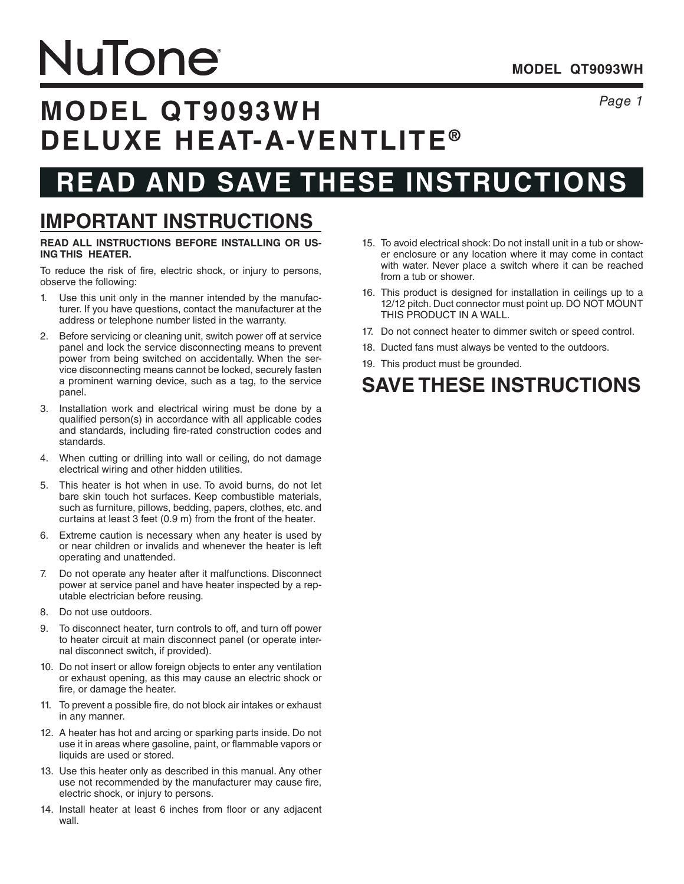## *Page 1* **MODEL QT9093WH DELUXE HEAT-A-VENTLITE ®**

## **READ AND SAVE THESE INSTRUCTIONS**

## **IMPORTANT INSTRUCTIONS**

#### **READ ALL INSTRUCTIONS BEFORE INSTALLING OR US-ING THIS HEATER.**

To reduce the risk of fire, electric shock, or injury to persons, observe the following:

- 1. Use this unit only in the manner intended by the manufacturer. If you have questions, contact the manufacturer at the address or telephone number listed in the warranty.
- 2. Before servicing or cleaning unit, switch power off at service panel and lock the service disconnecting means to prevent power from being switched on accidentally. When the service disconnecting means cannot be locked, securely fasten a prominent warning device, such as a tag, to the service panel.
- 3. Installation work and electrical wiring must be done by a qualified person(s) in accordance with all applicable codes and standards, including fire-rated construction codes and standards.
- 4. When cutting or drilling into wall or ceiling, do not damage electrical wiring and other hidden utilities.
- 5. This heater is hot when in use. To avoid burns, do not let bare skin touch hot surfaces. Keep combustible materials, such as furniture, pillows, bedding, papers, clothes, etc. and curtains at least 3 feet (0.9 m) from the front of the heater.
- 6. Extreme caution is necessary when any heater is used by or near children or invalids and whenever the heater is left operating and unattended.
- 7. Do not operate any heater after it malfunctions. Disconnect power at service panel and have heater inspected by a reputable electrician before reusing.
- 8. Do not use outdoors.
- 9. To disconnect heater, turn controls to off, and turn off power to heater circuit at main disconnect panel (or operate internal disconnect switch, if provided).
- 10. Do not insert or allow foreign objects to enter any ventilation or exhaust opening, as this may cause an electric shock or fire, or damage the heater.
- 11. To prevent a possible fire, do not block air intakes or exhaust in any manner.
- 12. A heater has hot and arcing or sparking parts inside. Do not use it in areas where gasoline, paint, or flammable vapors or liquids are used or stored.
- 13. Use this heater only as described in this manual. Any other use not recommended by the manufacturer may cause fire, electric shock, or injury to persons.
- 14. Install heater at least 6 inches from floor or any adjacent wall.
- 15. To avoid electrical shock: Do not install unit in a tub or shower enclosure or any location where it may come in contact with water. Never place a switch where it can be reached from a tub or shower.
- 16. This product is designed for installation in ceilings up to a 12/12 pitch. Duct connector must point up. DO NOT MOUNT THIS PRODUCT IN A WALL.
- 17. Do not connect heater to dimmer switch or speed control.
- 18. Ducted fans must always be vented to the outdoors.
- 19. This product must be grounded.

## **SAVE THESE INSTRUCTIONS**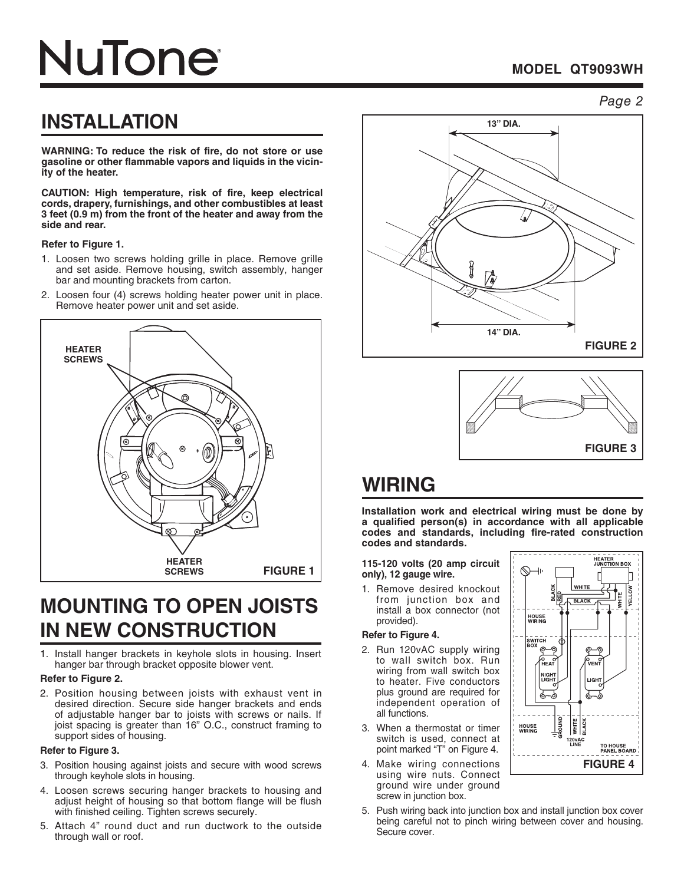### **MODEL QT9093WH**

## **INSTALLATION**

**WARNING: To reduce the risk of fire, do not store or use gasoline or other flammable vapors and liquids in the vicinity of the heater.**

**CAUTION: High temperature, risk of fire, keep electrical cords, drapery, furnishings, and other combustibles at least 3 feet (0.9 m) from the front of the heater and away from the side and rear.** 

#### **Refer to Figure 1.**

- 1. Loosen two screws holding grille in place. Remove grille and set aside. Remove housing, switch assembly, hanger bar and mounting brackets from carton.
- 2. Loosen four (4) screws holding heater power unit in place. Remove heater power unit and set aside.



### **MOUNTING TO OPEN JOISTS IN NEW CONSTRUCTION**

1. Install hanger brackets in keyhole slots in housing. Insert hanger bar through bracket opposite blower vent.

#### **Refer to Figure 2.**

2. Position housing between joists with exhaust vent in desired direction. Secure side hanger brackets and ends of adjustable hanger bar to joists with screws or nails. If joist spacing is greater than 16" O.C., construct framing to support sides of housing.

#### **Refer to Figure 3.**

- 3. Position housing against joists and secure with wood screws through keyhole slots in housing.
- 4. Loosen screws securing hanger brackets to housing and adjust height of housing so that bottom flange will be flush with finished ceiling. Tighten screws securely.
- 5. Attach 4" round duct and run ductwork to the outside through wall or roof.





## **WIRING**

**Installation work and electrical wiring must be done by a qualified person(s) in accordance with all applicable codes and standards, including fire-rated construction codes and standards.**

**115-120 volts (20 amp circuit only), 12 gauge wire.**

1. Remove desired knockout from junction box and install a box connector (not provided).

#### **Refer to Figure 4.**

- 2. Run 120vAC supply wiring to wall switch box. Run wiring from wall switch box to heater. Five conductors plus ground are required for independent operation of all functions.
- 3. When a thermostat or timer switch is used, connect at point marked "T" on Figure 4.
- 4. Make wiring connections using wire nuts. Connect ground wire under ground screw in junction box.



5. Push wiring back into junction box and install junction box cover being careful not to pinch wiring between cover and housing. Secure cover.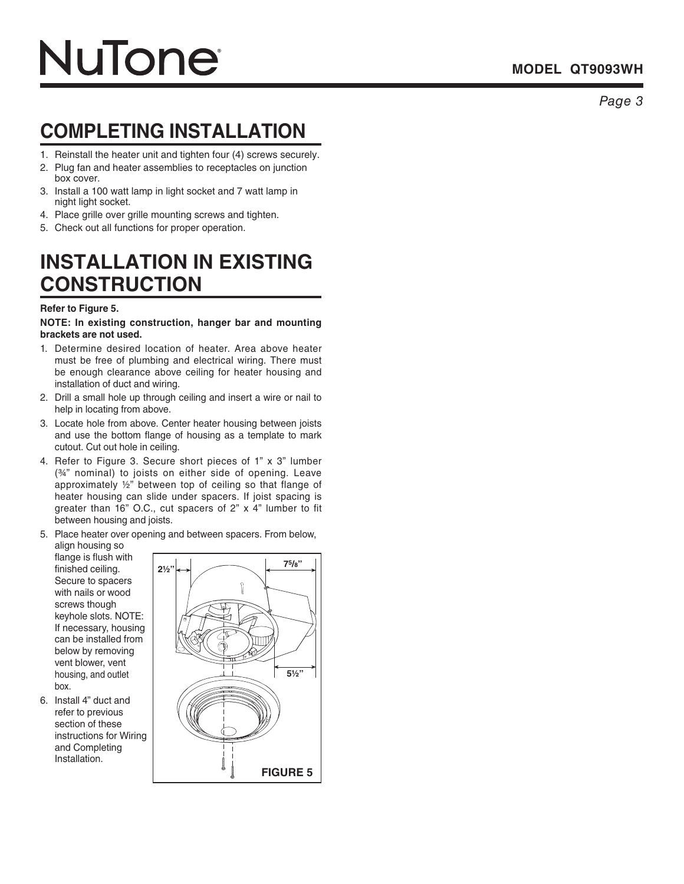## **COMPLETING INSTALLATION**

- 1. Reinstall the heater unit and tighten four (4) screws securely.
- 2. Plug fan and heater assemblies to receptacles on junction box cover.
- 3. Install a 100 watt lamp in light socket and 7 watt lamp in night light socket.
- 4. Place grille over grille mounting screws and tighten.
- 5. Check out all functions for proper operation.

## **INSTALLATION IN EXISTING CONSTRUCTION**

#### **Refer to Figure 5.**

#### **NOTE: In existing construction, hanger bar and mounting brackets are not used.**

- 1. Determine desired location of heater. Area above heater must be free of plumbing and electrical wiring. There must be enough clearance above ceiling for heater housing and installation of duct and wiring.
- 2. Drill a small hole up through ceiling and insert a wire or nail to help in locating from above.
- 3. Locate hole from above. Center heater housing between joists and use the bottom flange of housing as a template to mark cutout. Cut out hole in ceiling.
- 4. Refer to Figure 3. Secure short pieces of 1" x 3" lumber (¾" nominal) to joists on either side of opening. Leave approximately ½" between top of ceiling so that flange of heater housing can slide under spacers. If joist spacing is greater than 16" O.C., cut spacers of 2" x 4" lumber to fit between housing and joists.
- 5. Place heater over opening and between spacers. From below,

align housing so flange is flush with finished ceiling. Secure to spacers with nails or wood screws though keyhole slots. NOTE: If necessary, housing can be installed from below by removing vent blower, vent housing, and outlet box.

6. Install 4" duct and refer to previous section of these instructions for Wiring and Completing Installation.



*Page 3*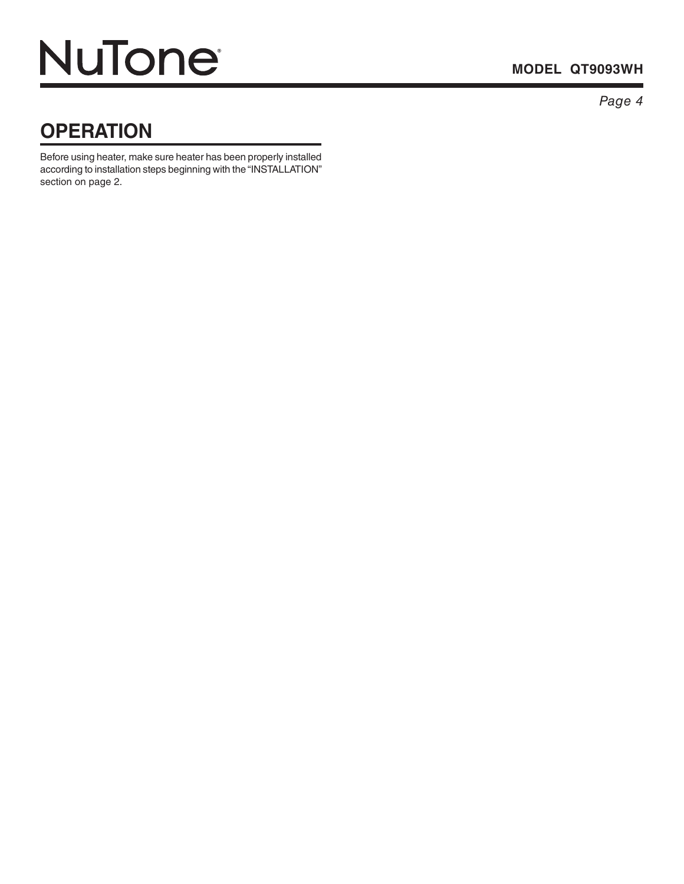*Page 4*

## **OPERATION**

Before using heater, make sure heater has been properly installed according to installation steps beginning with the "INSTALLATION" section on page 2.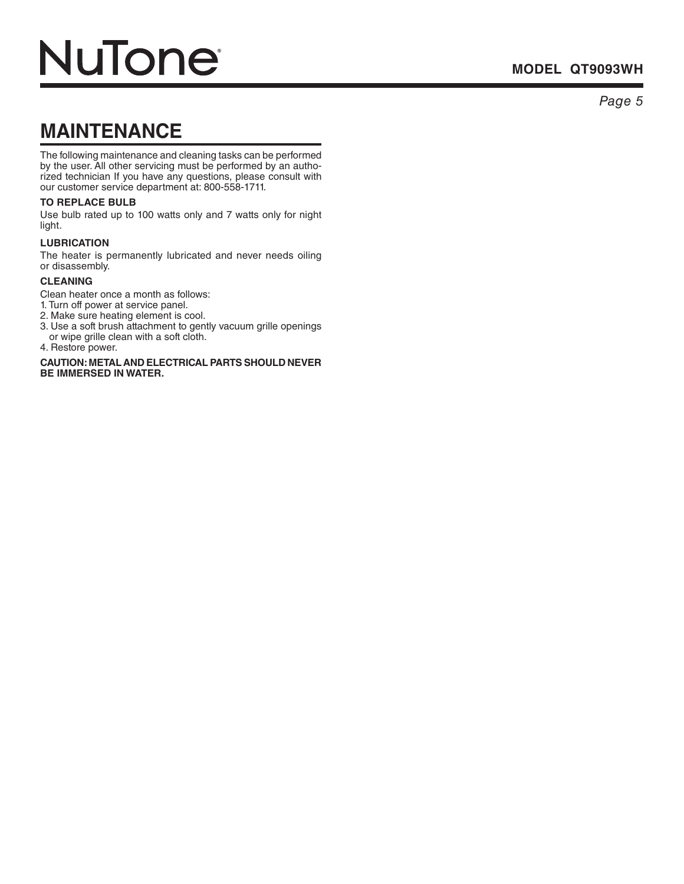### **MAINTENANCE**

The following maintenance and cleaning tasks can be performed by the user. All other servicing must be performed by an authorized technician If you have any questions, please consult with our customer service department at: 800-558-1711.

#### **TO REPLACE BULB**

Use bulb rated up to 100 watts only and 7 watts only for night light.

#### **LUBRICATION**

The heater is permanently lubricated and never needs oiling or disassembly.

#### **CLEANING**

Clean heater once a month as follows:

- 1. Turn off power at service panel.
- 2. Make sure heating element is cool.
- 3. Use a soft brush attachment to gently vacuum grille openings
- or wipe grille clean with a soft cloth. 4. Restore power.

#### **CAUTION: METAL AND ELECTRICAL PARTS SHOULD NEVER BE IMMERSED IN WATER.**

*Page 5*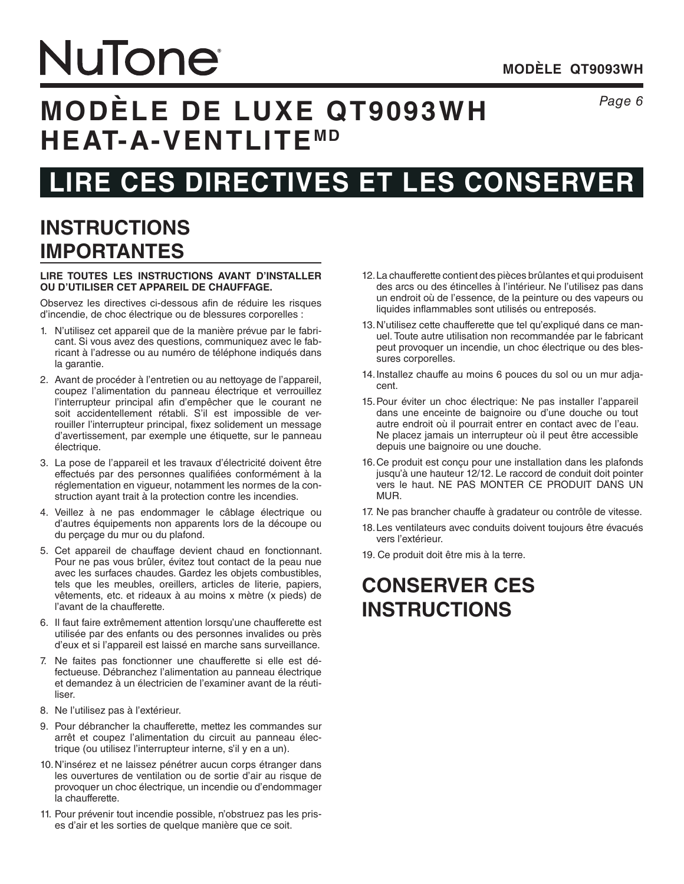## *Page 6* **MODÈLE DE LUXE QT9093WH HEAT-A-VENTLITE MD**

## **CES DIRECTIVES ET LES CONSERVER**

## **INSTRUCTIONS IMPORTANTES**

#### **LIRE TOUTES LES INSTRUCTIONS AVANT D'INSTALLER OU D'UTILISER CET APPAREIL DE CHAUFFAGE.**

Observez les directives ci-dessous afin de réduire les risques d'incendie, de choc électrique ou de blessures corporelles :

- 1. N'utilisez cet appareil que de la manière prévue par le fabricant. Si vous avez des questions, communiquez avec le fabricant à l'adresse ou au numéro de téléphone indiqués dans la garantie.
- 2. Avant de procéder à l'entretien ou au nettoyage de l'appareil, coupez l'alimentation du panneau électrique et verrouillez l'interrupteur principal afin d'empêcher que le courant ne soit accidentellement rétabli. S'il est impossible de verrouiller l'interrupteur principal, fixez solidement un message d'avertissement, par exemple une étiquette, sur le panneau électrique.
- 3. La pose de l'appareil et les travaux d'électricité doivent être effectués par des personnes qualifiées conformément à la réglementation en vigueur, notamment les normes de la construction ayant trait à la protection contre les incendies.
- 4. Veillez à ne pas endommager le câblage électrique ou d'autres équipements non apparents lors de la découpe ou du perçage du mur ou du plafond.
- 5. Cet appareil de chauffage devient chaud en fonctionnant. Pour ne pas vous brûler, évitez tout contact de la peau nue avec les surfaces chaudes. Gardez les objets combustibles, tels que les meubles, oreillers, articles de literie, papiers, vêtements, etc. et rideaux à au moins x mètre (x pieds) de l'avant de la chaufferette.
- 6. Il faut faire extrêmement attention lorsqu'une chaufferette est utilisée par des enfants ou des personnes invalides ou près d'eux et si l'appareil est laissé en marche sans surveillance.
- 7. Ne faites pas fonctionner une chaufferette si elle est défectueuse. Débranchez l'alimentation au panneau électrique et demandez à un électricien de l'examiner avant de la réutiliser.
- 8. Ne l'utilisez pas à l'extérieur.
- 9. Pour débrancher la chaufferette, mettez les commandes sur arrêt et coupez l'alimentation du circuit au panneau électrique (ou utilisez l'interrupteur interne, s'il y en a un).
- 10.N'insérez et ne laissez pénétrer aucun corps étranger dans les ouvertures de ventilation ou de sortie d'air au risque de provoquer un choc électrique, un incendie ou d'endommager la chaufferette.
- 11. Pour prévenir tout incendie possible, n'obstruez pas les prises d'air et les sorties de quelque manière que ce soit.
- 12.La chaufferette contient des pièces brûlantes et qui produisent des arcs ou des étincelles à l'intérieur. Ne l'utilisez pas dans un endroit où de l'essence, de la peinture ou des vapeurs ou liquides inflammables sont utilisés ou entreposés.
- 13.N'utilisez cette chaufferette que tel qu'expliqué dans ce manuel. Toute autre utilisation non recommandée par le fabricant peut provoquer un incendie, un choc électrique ou des blessures corporelles.
- 14.Installez chauffe au moins 6 pouces du sol ou un mur adjacent.
- 15.Pour éviter un choc électrique: Ne pas installer l'appareil dans une enceinte de baignoire ou d'une douche ou tout autre endroit où il pourrait entrer en contact avec de l'eau. Ne placez jamais un interrupteur où il peut être accessible depuis une baignoire ou une douche.
- 16.Ce produit est conçu pour une installation dans les plafonds jusqu'à une hauteur 12/12. Le raccord de conduit doit pointer vers le haut. NE PAS MONTER CE PRODUIT DANS UN MUR.
- 17. Ne pas brancher chauffe à gradateur ou contrôle de vitesse.
- 18.Les ventilateurs avec conduits doivent toujours être évacués vers l'extérieur.
- 19. Ce produit doit être mis à la terre.

## **CONSERVER CES INSTRUCTIONS**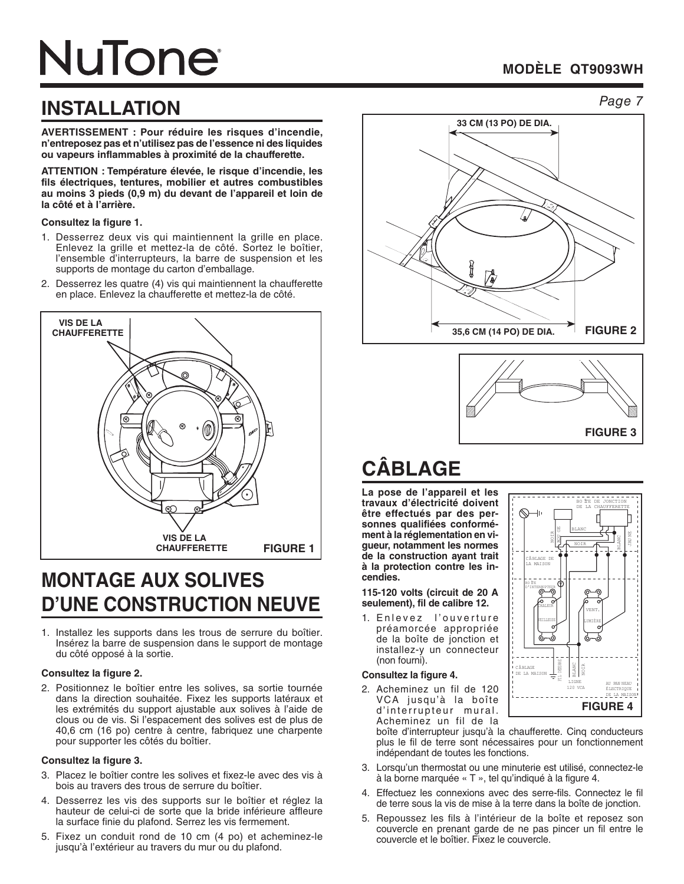### **MODÈLE QT9093WH**

## **INSTALLATION**

**AVERTISSEMENT : Pour réduire les risques d'incendie, n'entreposez pas et n'utilisez pas de l'essence ni des liquides ou vapeurs inflammables à proximité de la chaufferette.**

**ATTENTION : Température élevée, le risque d'incendie, les fils électriques, tentures, mobilier et autres combustibles au moins 3 pieds (0,9 m) du devant de l'appareil et loin de la côté et à l'arrière.**

#### **Consultez la figure 1.**

- 1. Desserrez deux vis qui maintiennent la grille en place. Enlevez la grille et mettez-la de côté. Sortez le boîtier, l'ensemble d'interrupteurs, la barre de suspension et les supports de montage du carton d'emballage.
- 2. Desserrez les quatre (4) vis qui maintiennent la chaufferette en place. Enlevez la chaufferette et mettez-la de côté.



### **MONTAGE AUX SOLIVES D'UNE CONSTRUCTION NEUVE**

1. Installez les supports dans les trous de serrure du boîtier. Insérez la barre de suspension dans le support de montage du côté opposé à la sortie.

#### **Consultez la figure 2.**

2. Positionnez le boîtier entre les solives, sa sortie tournée dans la direction souhaitée. Fixez les supports latéraux et les extrémités du support ajustable aux solives à l'aide de clous ou de vis. Si l'espacement des solives est de plus de 40,6 cm (16 po) centre à centre, fabriquez une charpente pour supporter les côtés du boîtier.

#### **Consultez la figure 3.**

- 3. Placez le boîtier contre les solives et fixez-le avec des vis à bois au travers des trous de serrure du boîtier.
- 4. Desserrez les vis des supports sur le boîtier et réglez la hauteur de celui-ci de sorte que la bride inférieure affleure la surface finie du plafond. Serrez les vis fermement.
- 5. Fixez un conduit rond de 10 cm (4 po) et acheminez-le jusqu'à l'extérieur au travers du mur ou du plafond.





**NOIR**

**ROU GE**

**CHALEUR**

**BO ÎTE D'INTERRUPTEUR**

**C ÂBLAGE DE LA MAISON**

**NOIR**

**BLANC**

**VENT.**

120 VCA

**BLANC FIL DE TERRE**

**NOIR**

**VEILLEUSE LUMIÈRE**

## **CÂBLAGE**

**La pose de l'appareil et les travaux d'électricité doivent être effectués par des personnes qualifiées conformément à la réglementation en vigueur, notamment les normes de la construction ayant trait à la protection contre les incendies.**

#### **115-120 volts (circuit de 20 A seulement), fil de calibre 12.**

1. Enlevez l'ouverture préamorcée appropriée de la boîte de jonction et installez-y un connecteur (non fourni).

#### **Consultez la figure 4.**

2. Acheminez un fil de 120 VCA jusqu'à la boîte d'interrupteur mural. Acheminez un fil de la

boîte d'interrupteur jusqu'à la chaufferette. Cinq conducteurs plus le fil de terre sont nécessaires pour un fonctionnement indépendant de toutes les fonctions.

**C ÂBLAGE DE LA MAISON**

**FIGURE 4**

**120 VCA AU PAN NEAU ÉLECTRIQUE DE LA MAISON**

**BLANC JAU NE**

**BO ÎTE DE JONCTION DE LA CHAUFFERETTE**

- 3. Lorsqu'un thermostat ou une minuterie est utilisé, connectez-le à la borne marquée « T », tel qu'indiqué à la figure 4.
- 4. Effectuez les connexions avec des serre-fils. Connectez le fil de terre sous la vis de mise à la terre dans la boîte de jonction.
- 5. Repoussez les fils à l'intérieur de la boîte et reposez son couvercle en prenant garde de ne pas pincer un fil entre le couvercle et le boîtier. Fixez le couvercle.

### *Page 7*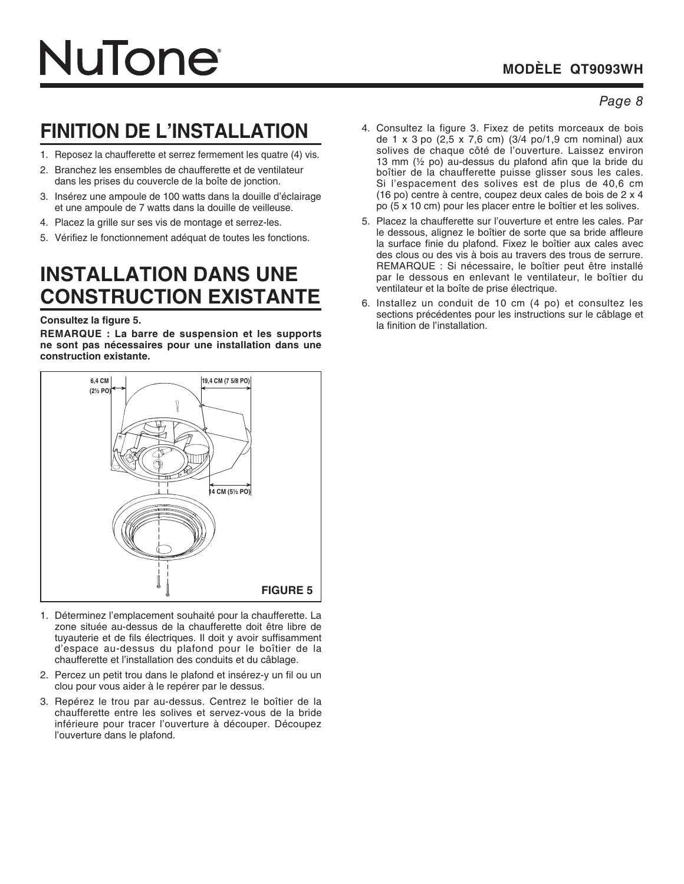### **MODÈLE QT9093WH**

### *Page 8*

## **FINITION DE L'INSTALLATION**

- 1. Reposez la chaufferette et serrez fermement les quatre (4) vis.
- 2. Branchez les ensembles de chaufferette et de ventilateur dans les prises du couvercle de la boîte de jonction.
- 3. Insérez une ampoule de 100 watts dans la douille d'éclairage et une ampoule de 7 watts dans la douille de veilleuse.
- 4. Placez la grille sur ses vis de montage et serrez-les.
- 5. Vérifiez le fonctionnement adéquat de toutes les fonctions.

## **INSTALLATION DANS UNE CONSTRUCTION EXISTANTE**

#### **Consultez la figure 5.**

**REMARQUE : La barre de suspension et les supports ne sont pas nécessaires pour une installation dans une construction existante.**



- 1. Déterminez l'emplacement souhaité pour la chaufferette. La zone située au-dessus de la chaufferette doit être libre de tuyauterie et de fils électriques. Il doit y avoir suffisamment d'espace au-dessus du plafond pour le boîtier de la chaufferette et l'installation des conduits et du câblage.
- 2. Percez un petit trou dans le plafond et insérez-y un fil ou un clou pour vous aider à le repérer par le dessus.
- 3. Repérez le trou par au-dessus. Centrez le boîtier de la chaufferette entre les solives et servez-vous de la bride inférieure pour tracer l'ouverture à découper. Découpez l'ouverture dans le plafond.
- 4. Consultez la figure 3. Fixez de petits morceaux de bois de 1 x 3 po  $(2.5 \times 7.6 \text{ cm})$   $(3/4 \text{ po}/1.9 \text{ cm}$  nominal) aux solives de chaque côté de l'ouverture. Laissez environ 13 mm (½ po) au-dessus du plafond afin que la bride du boîtier de la chaufferette puisse glisser sous les cales. Si l'espacement des solives est de plus de 40,6 cm (16 po) centre à centre, coupez deux cales de bois de 2 x 4 po (5 x 10 cm) pour les placer entre le boîtier et les solives.
- 5. Placez la chaufferette sur l'ouverture et entre les cales. Par le dessous, alignez le boîtier de sorte que sa bride affleure la surface finie du plafond. Fixez le boîtier aux cales avec des clous ou des vis à bois au travers des trous de serrure. REMARQUE : Si nécessaire, le boîtier peut être installé par le dessous en enlevant le ventilateur, le boîtier du ventilateur et la boîte de prise électrique.
- 6. Installez un conduit de 10 cm (4 po) et consultez les sections précédentes pour les instructions sur le câblage et la finition de l'installation.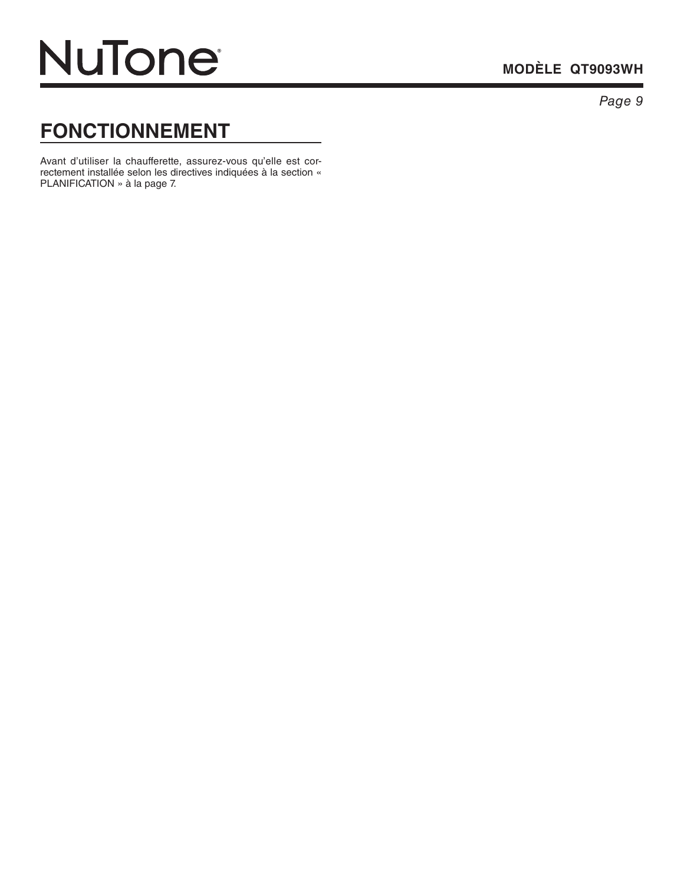*Page 9*

## **FONCTIONNEMENT**

Avant d'utiliser la chaufferette, assurez-vous qu'elle est correctement installée selon les directives indiquées à la section « PLANIFICATION » à la page 7.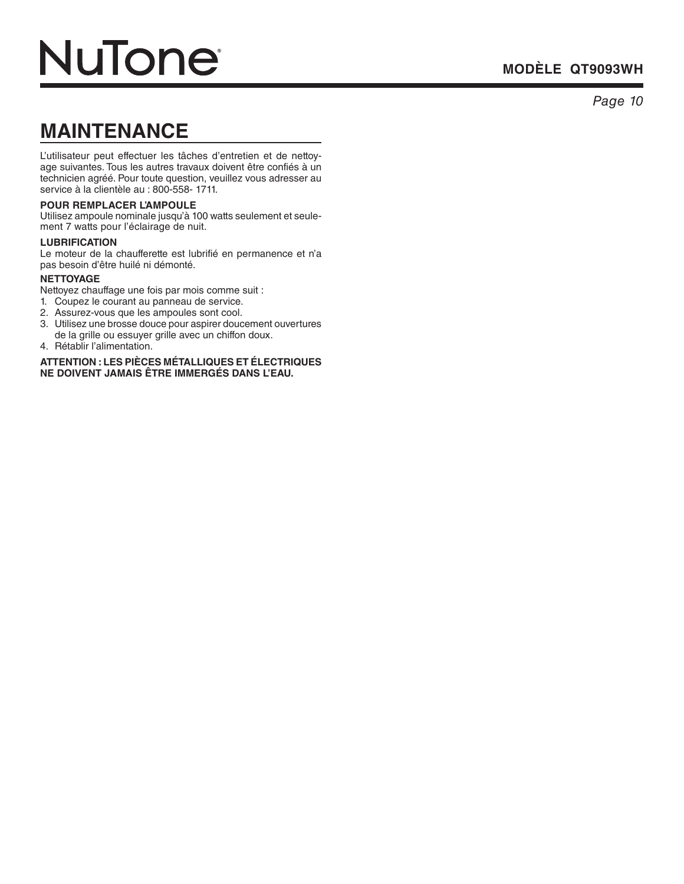*Page 10*

### **MAINTENANCE**

L'utilisateur peut effectuer les tâches d'entretien et de nettoyage suivantes. Tous les autres travaux doivent être confiés à un technicien agréé. Pour toute question, veuillez vous adresser au service à la clientèle au : 800-558- 1711.

#### **POUR REMPLACER L'AMPOULE**

Utilisez ampoule nominale jusqu'à 100 watts seulement et seulement 7 watts pour l'éclairage de nuit.

#### **LUBRIFICATION**

Le moteur de la chaufferette est lubrifié en permanence et n'a pas besoin d'être huilé ni démonté.

#### **NETTOYAGE**

Nettoyez chauffage une fois par mois comme suit :

- 1. Coupez le courant au panneau de service.
- 2. Assurez-vous que les ampoules sont cool.
- 3. Utilisez une brosse douce pour aspirer doucement ouvertures
- de la grille ou essuyer grille avec un chiffon doux.
- 4. Rétablir l'alimentation.

#### **ATTENTION : LES PIÈCES MÉTALLIQUES ET ÉLECTRIQUES NE DOIVENT JAMAIS ÊTRE IMMERGÉS DANS L'EAU.**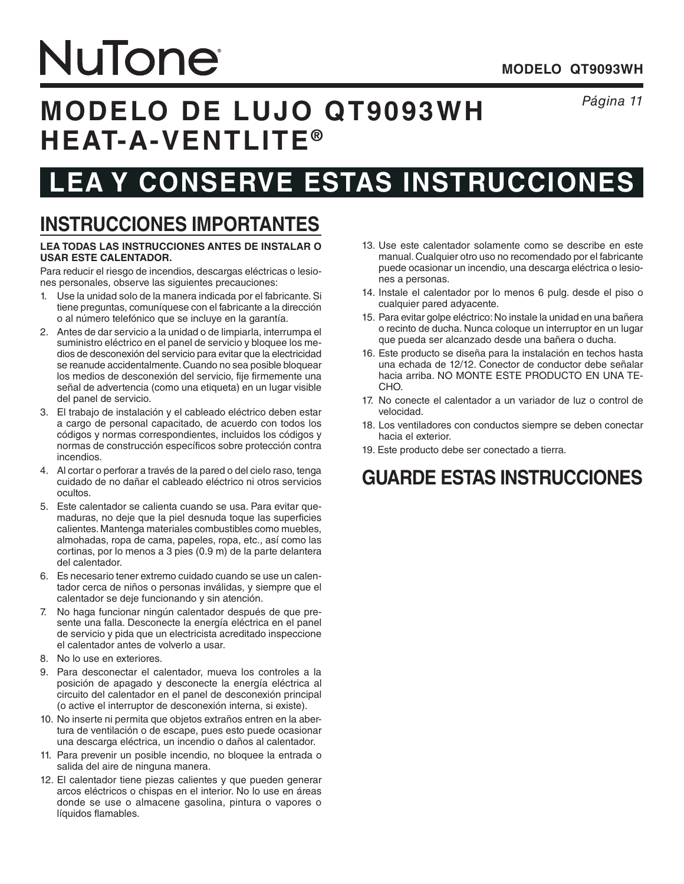### **MODELO QT9093WH**

## *Página 11* **MODELO DE LUJO QT9093WH HEAT-A-VENTLITE ®**

## **EA Y CONSERVE ESTAS INSTRUCCIONES**

## **INSTRUCCIONES IMPORTANTES**

#### **LEA TODAS LAS INSTRUCCIONES ANTES DE INSTALAR O USAR ESTE CALENTADOR.**

Para reducir el riesgo de incendios, descargas eléctricas o lesiones personales, observe las siguientes precauciones:

- 1. Use la unidad solo de la manera indicada por el fabricante. Si tiene preguntas, comuníquese con el fabricante a la dirección o al número telefónico que se incluye en la garantía.
- 2. Antes de dar servicio a la unidad o de limpiarla, interrumpa el suministro eléctrico en el panel de servicio y bloquee los medios de desconexión del servicio para evitar que la electricidad se reanude accidentalmente. Cuando no sea posible bloquear los medios de desconexión del servicio, fije firmemente una señal de advertencia (como una etiqueta) en un lugar visible del panel de servicio.
- 3. El trabajo de instalación y el cableado eléctrico deben estar a cargo de personal capacitado, de acuerdo con todos los códigos y normas correspondientes, incluidos los códigos y normas de construcción específicos sobre protección contra incendios.
- 4. Al cortar o perforar a través de la pared o del cielo raso, tenga cuidado de no dañar el cableado eléctrico ni otros servicios ocultos.
- 5. Este calentador se calienta cuando se usa. Para evitar quemaduras, no deje que la piel desnuda toque las superficies calientes. Mantenga materiales combustibles como muebles, almohadas, ropa de cama, papeles, ropa, etc., así como las cortinas, por lo menos a 3 pies (0.9 m) de la parte delantera del calentador.
- 6. Es necesario tener extremo cuidado cuando se use un calentador cerca de niños o personas inválidas, y siempre que el calentador se deje funcionando y sin atención.
- 7. No haga funcionar ningún calentador después de que presente una falla. Desconecte la energía eléctrica en el panel de servicio y pida que un electricista acreditado inspeccione el calentador antes de volverlo a usar.
- 8. No lo use en exteriores.
- 9. Para desconectar el calentador, mueva los controles a la posición de apagado y desconecte la energía eléctrica al circuito del calentador en el panel de desconexión principal (o active el interruptor de desconexión interna, si existe).
- 10. No inserte ni permita que objetos extraños entren en la abertura de ventilación o de escape, pues esto puede ocasionar una descarga eléctrica, un incendio o daños al calentador.
- 11. Para prevenir un posible incendio, no bloquee la entrada o salida del aire de ninguna manera.
- 12. El calentador tiene piezas calientes y que pueden generar arcos eléctricos o chispas en el interior. No lo use en áreas donde se use o almacene gasolina, pintura o vapores o líquidos flamables.
- 13. Use este calentador solamente como se describe en este manual. Cualquier otro uso no recomendado por el fabricante puede ocasionar un incendio, una descarga eléctrica o lesiones a personas.
- 14. Instale el calentador por lo menos 6 pulg. desde el piso o cualquier pared adyacente.
- 15. Para evitar golpe eléctrico: No instale la unidad en una bañera o recinto de ducha. Nunca coloque un interruptor en un lugar que pueda ser alcanzado desde una bañera o ducha.
- 16. Este producto se diseña para la instalación en techos hasta una echada de 12/12. Conector de conductor debe señalar hacia arriba. NO MONTE ESTE PRODUCTO EN UNA TE-CHO.
- 17. No conecte el calentador a un variador de luz o control de velocidad.
- 18. Los ventiladores con conductos siempre se deben conectar hacia el exterior.
- 19. Este producto debe ser conectado a tierra.

## **GUARDE ESTAS INSTRUCCIONES**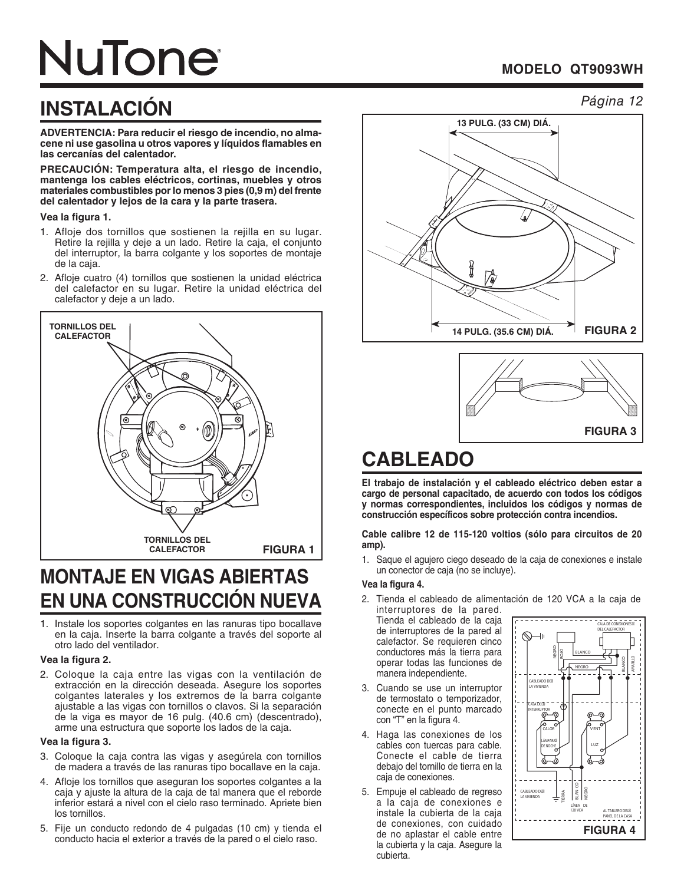### **MODELO QT9093WH**

## **INSTALACIÓN**

**ADVERTENCIA: Para reducir el riesgo de incendio, no almacene ni use gasolina u otros vapores y líquidos flamables en las cercanías del calentador.**

**PRECAUCIÓN: Temperatura alta, el riesgo de incendio, mantenga los cables eléctricos, cortinas, muebles y otros materiales combustibles por lo menos 3 pies (0,9 m) del frente del calentador y lejos de la cara y la parte trasera.**

#### **Vea la figura 1.**

- 1. Afloje dos tornillos que sostienen la rejilla en su lugar. Retire la rejilla y deje a un lado. Retire la caja, el conjunto del interruptor, la barra colgante y los soportes de montaje de la caja.
- 2. Afloje cuatro (4) tornillos que sostienen la unidad eléctrica del calefactor en su lugar. Retire la unidad eléctrica del calefactor y deje a un lado.



### **MONTAJE EN VIGAS ABIERTAS EN UNA CONSTRUCCIÓN NUEVA**

1. Instale los soportes colgantes en las ranuras tipo bocallave en la caja. Inserte la barra colgante a través del soporte al otro lado del ventilador.

#### **Vea la figura 2.**

2. Coloque la caja entre las vigas con la ventilación de extracción en la dirección deseada. Asegure los soportes colgantes laterales y los extremos de la barra colgante ajustable a las vigas con tornillos o clavos. Si la separación de la viga es mayor de 16 pulg. (40.6 cm) (descentrado), arme una estructura que soporte los lados de la caja.

#### **Vea la figura 3.**

- 3. Coloque la caja contra las vigas y asegúrela con tornillos de madera a través de las ranuras tipo bocallave en la caja.
- 4. Afloje los tornillos que aseguran los soportes colgantes a la caja y ajuste la altura de la caja de tal manera que el reborde inferior estará a nivel con el cielo raso terminado. Apriete bien los tornillos.
- 5. Fije un conducto redondo de 4 pulgadas (10 cm) y tienda el conducto hacia el exterior a través de la pared o el cielo raso.







## **CABLEADO**

**El trabajo de instalación y el cableado eléctrico deben estar a cargo de personal capacitado, de acuerdo con todos los códigos y normas correspondientes, incluidos los códigos y normas de construcción específicos sobre protección contra incendios.** 

**Cable calibre 12 de 115-120 voltios (sólo para circuitos de 20 amp).**

1. Saque el agujero ciego deseado de la caja de conexiones e instale un conector de caja (no se incluye).

#### **Vea la figura 4.**

- 2. Tienda el cableado de alimentación de 120 VCA a la caja de interruptores de la pared.
- Tienda el cableado de la caja de interruptores de la pared al calefactor. Se requieren cinco conductores más la tierra para operar todas las funciones de manera independiente.
- 3. Cuando se use un interruptor de termostato o temporizador, conecte en el punto marcado con "T" en la figura 4.
- 4. Haga las conexiones de los cables con tuercas para cable. Conecte el cable de tierra debajo del tornillo de tierra en la caja de conexiones.
- 5. Empuje el cableado de regreso a la caja de conexiones e instale la cubierta de la caja de conexiones, con cuidado de no aplastar el cable entre la cubierta y la caja. Asegure la cubierta.

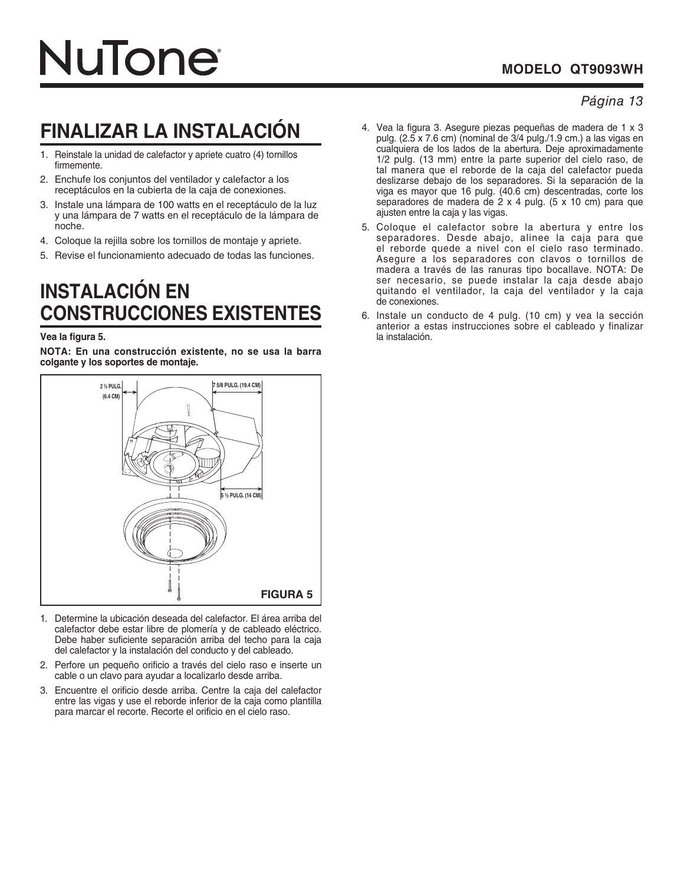### **MODELO QT9093WH**

#### *Página 13*

## **FINALIZAR LA INSTALACIÓN**

- 1. Reinstale la unidad de calefactor y apriete cuatro (4) tornillos firmemente.
- 2. Enchufe los conjuntos del ventilador y calefactor a los receptáculos en la cubierta de la caja de conexiones.
- 3. Instale una lámpara de 100 watts en el receptáculo de la luz y una lámpara de 7 watts en el receptáculo de la lámpara de noche.
- 4. Coloque la rejilla sobre los tornillos de montaje y apriete.
- 5. Revise el funcionamiento adecuado de todas las funciones.

## **INSTALACIÓN EN CONSTRUCCIONES EXISTENTES**

#### **Vea la figura 5.**

**NOTA: En una construcción existente, no se usa la barra colgante y los soportes de montaje.**



- 1. Determine la ubicación deseada del calefactor. El área arriba del calefactor debe estar libre de plomería y de cableado eléctrico. Debe haber suficiente separación arriba del techo para la caja del calefactor y la instalación del conducto y del cableado.
- 2. Perfore un pequeño orificio a través del cielo raso e inserte un cable o un clavo para ayudar a localizarlo desde arriba.
- 3. Encuentre el orificio desde arriba. Centre la caja del calefactor entre las vigas y use el reborde inferior de la caja como plantilla para marcar el recorte. Recorte el orificio en el cielo raso.
- 4. Vea la figura 3. Asegure piezas pequeñas de madera de 1 x 3 pulg. (2.5 x 7.6 cm) (nominal de 3/4 pulg./1.9 cm.) a las vigas en cualquiera de los lados de la abertura. Deje aproximadamente 1/2 pulg. (13 mm) entre la parte superior del cielo raso, de tal manera que el reborde de la caja del calefactor pueda deslizarse debajo de los separadores. Si la separación de la viga es mayor que 16 pulg. (40.6 cm) descentradas, corte los separadores de madera de 2 x 4 pulg. (5 x 10 cm) para que ajusten entre la caja y las vigas.
- 5. Coloque el calefactor sobre la abertura y entre los separadores. Desde abajo, alinee la caja para que el reborde quede a nivel con el cielo raso terminado. Asegure a los separadores con clavos o tornillos de madera a través de las ranuras tipo bocallave. NOTA: De ser necesario, se puede instalar la caja desde abajo quitando el ventilador, la caja del ventilador y la caja de conexiones.
- 6. Instale un conducto de 4 pulg. (10 cm) y vea la sección anterior a estas instrucciones sobre el cableado y finalizar la instalación.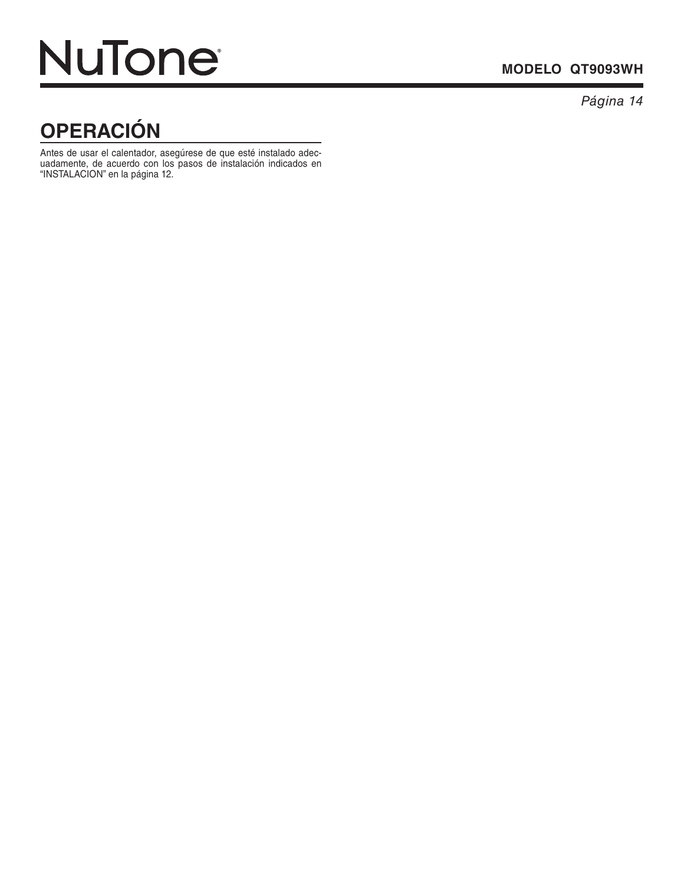*Página 14*

## **OPERACIÓN**

Antes de usar el calentador, asegúrese de que esté instalado adecuadamente, de acuerdo con los pasos de instalación indicados en "INSTALACION" en la página 12.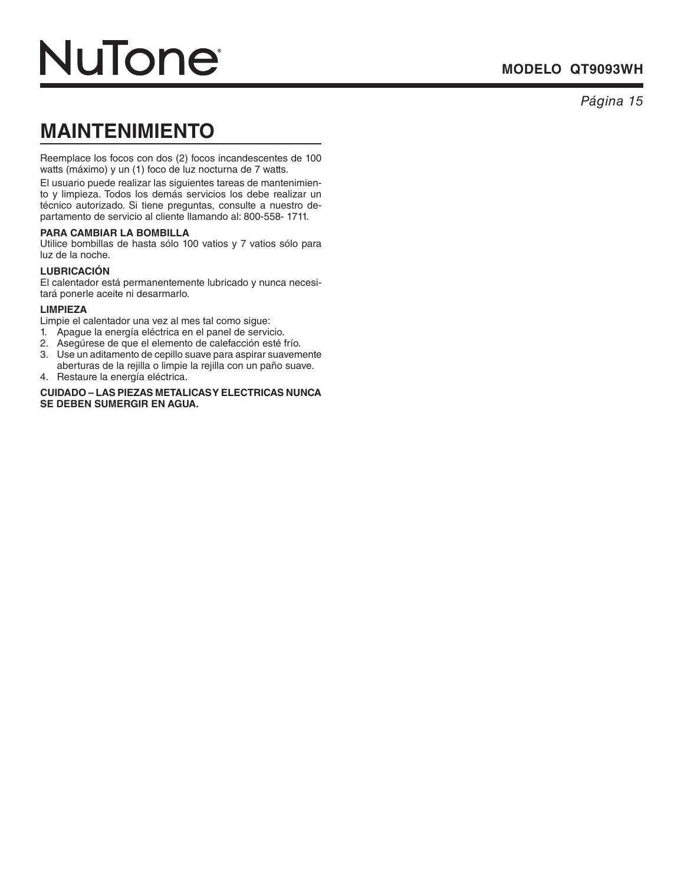*Página 15*

## **MAINTENIMIENTO**

Reemplace los focos con dos (2) focos incandescentes de 100 watts (máximo) y un (1) foco de luz nocturna de 7 watts.

El usuario puede realizar las siguientes tareas de mantenimiento y limpieza. Todos los demás servicios los debe realizar un técnico autorizado. Si tiene preguntas, consulte a nuestro departamento de servicio al cliente llamando al: 800-558- 1711.

#### **PARA CAMBIAR LA BOMBILLA**

Utilice bombillas de hasta sólo 100 vatios y 7 vatios sólo para luz de la noche.

#### **LUBRICACIÓN**

El calentador está permanentemente lubricado y nunca necesitará ponerle aceite ni desarmarlo.

#### **LIMPIEZA**

Limpie el calentador una vez al mes tal como sigue:

- 1. Apague la energía eléctrica en el panel de servicio.
- 2. Asegúrese de que el elemento de calefacción esté frío.
- 3. Use un aditamento de cepillo suave para aspirar suavemente aberturas de la rejilla o limpie la rejilla con un paño suave.
- 4. Restaure la energía eléctrica.

#### **CUIDADO – LAS PIEZAS METALICAS Y ELECTRICAS NUNCA SE DEBEN SUMERGIR EN AGUA.**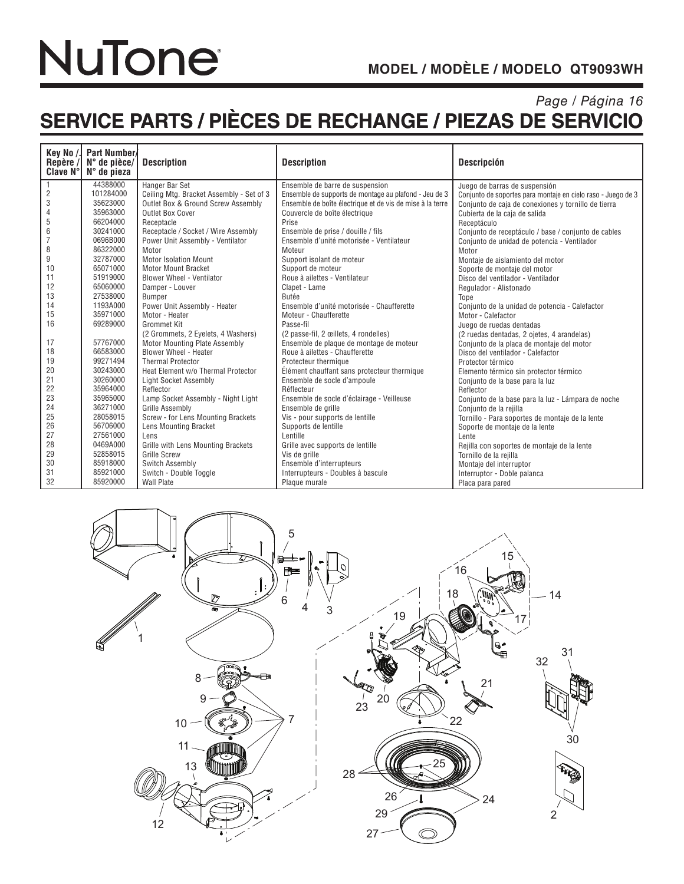### *Page / Página 16*

## **SERVICE PARTS / PIÈCES DE RECHANGE / PIEZAS DE SERVICIO**

| Key No /.<br>Repère /<br>Clave N° | Part Number<br>$N^{\circ}$ de pièce/<br>$N^{\circ}$ de pieza | <b>Description</b>                       | <b>Description</b>                                        | <b>Descripción</b>                                           |
|-----------------------------------|--------------------------------------------------------------|------------------------------------------|-----------------------------------------------------------|--------------------------------------------------------------|
|                                   | 44388000                                                     | Hanger Bar Set                           | Ensemble de barre de suspension                           | Juego de barras de suspensión                                |
| $\overline{c}$                    | 101284000                                                    | Ceiling Mtg. Bracket Assembly - Set of 3 | Ensemble de supports de montage au plafond - Jeu de 3     | Conjunto de soportes para montaje en cielo raso - Juego de 3 |
| 3                                 | 35623000                                                     | Outlet Box & Ground Screw Assembly       | Ensemble de boîte électrique et de vis de mise à la terre | Conjunto de caja de conexiones y tornillo de tierra          |
|                                   | 35963000                                                     | Outlet Box Cover                         | Couvercle de boîte électrique                             | Cubierta de la caja de salida                                |
| 5                                 | 66204000                                                     | Receptacle                               | Prise                                                     | Receptáculo                                                  |
| 6                                 | 30241000                                                     | Receptacle / Socket / Wire Assembly      | Ensemble de prise / douille / fils                        | Conjunto de receptáculo / base / conjunto de cables          |
| $\overline{7}$                    | 0696B000                                                     | Power Unit Assembly - Ventilator         | Ensemble d'unité motorisée - Ventilateur                  | Conjunto de unidad de potencia - Ventilador                  |
| 8                                 | 86322000                                                     | Motor                                    | Moteur                                                    | Motor                                                        |
| 9                                 | 32787000                                                     | <b>Motor Isolation Mount</b>             | Support isolant de moteur                                 | Montaje de aislamiento del motor                             |
| 10                                | 65071000                                                     | Motor Mount Bracket                      | Support de moteur                                         | Soporte de montaje del motor                                 |
| 11                                | 51919000                                                     | <b>Blower Wheel - Ventilator</b>         | Roue à ailettes - Ventilateur                             | Disco del ventilador - Ventilador                            |
| 12                                | 65060000                                                     | Damper - Louver                          | Clapet - Lame                                             | Regulador - Alistonado                                       |
| 13                                | 27538000                                                     | Bumper                                   | Butée                                                     | Tope                                                         |
| 14                                | 1193A000                                                     | Power Unit Assembly - Heater             | Ensemble d'unité motorisée - Chaufferette                 | Conjunto de la unidad de potencia - Calefactor               |
| 15                                | 35971000                                                     | Motor - Heater                           | Moteur - Chaufferette                                     | Motor - Calefactor                                           |
| 16                                | 69289000                                                     | Grommet Kit                              | Passe-fil                                                 | Juego de ruedas dentadas                                     |
|                                   |                                                              | (2 Grommets, 2 Eyelets, 4 Washers)       | (2 passe-fil, 2 œillets, 4 rondelles)                     | (2 ruedas dentadas, 2 ojetes, 4 arandelas)                   |
| 17                                | 57767000                                                     | Motor Mounting Plate Assembly            | Ensemble de plaque de montage de moteur                   | Conjunto de la placa de montaje del motor                    |
| 18                                | 66583000                                                     | <b>Blower Wheel - Heater</b>             | Roue à ailettes - Chaufferette                            | Disco del ventilador - Calefactor                            |
| 19                                | 99271494                                                     | <b>Thermal Protector</b>                 | Protecteur thermique                                      | Protector térmico                                            |
| 20                                | 30243000                                                     | Heat Element w/o Thermal Protector       | Élément chauffant sans protecteur thermique               | Elemento térmico sin protector térmico                       |
| 21                                | 30260000                                                     | <b>Light Socket Assembly</b>             | Ensemble de socle d'ampoule                               | Conjunto de la base para la luz                              |
| 22                                | 35964000                                                     | Reflector                                | Réflecteur                                                | Reflector                                                    |
| 23                                | 35965000                                                     | Lamp Socket Assembly - Night Light       | Ensemble de socle d'éclairage - Veilleuse                 | Conjunto de la base para la luz - Lámpara de noche           |
| 24                                | 36271000                                                     | Grille Assembly                          | Ensemble de grille                                        | Conjunto de la rejilla                                       |
| 25                                | 28058015                                                     | Screw - for Lens Mounting Brackets       | Vis - pour supports de lentille                           | Tornillo - Para soportes de montaje de la lente              |
| 26                                | 56706000                                                     | <b>Lens Mounting Bracket</b>             | Supports de lentille                                      | Soporte de montaje de la lente                               |
| 27                                | 27561000                                                     | Lens                                     | Lentille                                                  | Lente                                                        |
| 28                                | 0469A000                                                     | Grille with Lens Mounting Brackets       | Grille avec supports de lentille                          | Rejilla con soportes de montaje de la lente                  |
| 29                                | 52858015                                                     | <b>Grille Screw</b>                      | Vis de grille                                             | Tornillo de la rejilla                                       |
| 30                                | 85918000                                                     | Switch Assembly                          | Ensemble d'interrupteurs                                  | Montaje del interruptor                                      |
| 31                                | 85921000                                                     | Switch - Double Toggle                   | Interrupteurs - Doubles à bascule                         | Interruptor - Doble palanca                                  |
| 32                                | 85920000                                                     | <b>Wall Plate</b>                        | Plaque murale                                             | Placa para pared                                             |

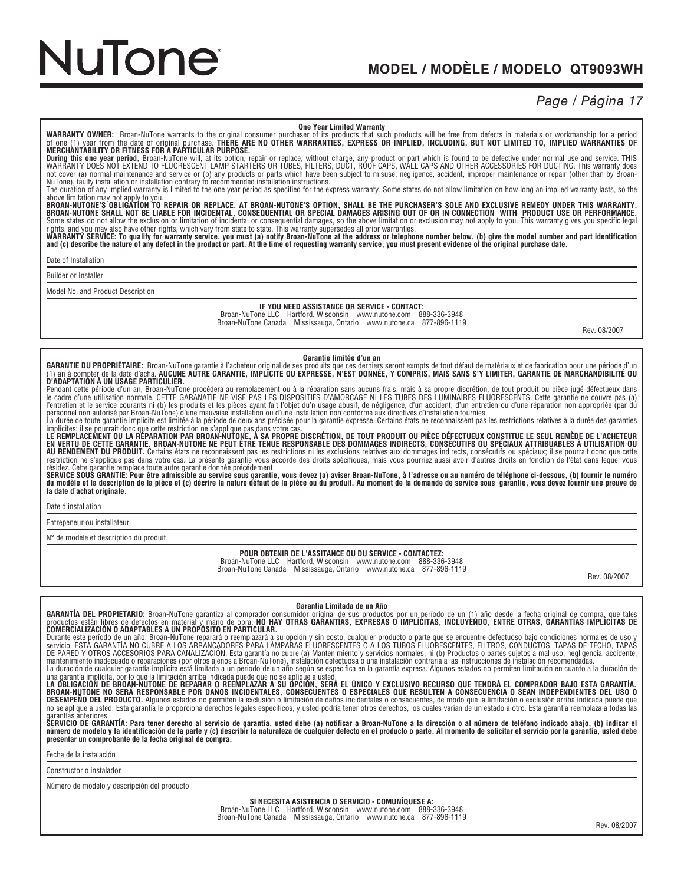### **MODEL / MODÈLE / MODELO QT9093WH**

### *Page / Página 17*

#### **One Year Limited Warranty**

WARRANTY OWNER: Broan-NuTone warrants to the original consumer purchaser of its products that such products will be free from defects in materials or workmanship for a period<br>of one (1) year from the date of original purch

**During this one year period,** Broan-NuTone will, at its option, repair or replace, without charge, any product or part which is found to be defective under normal use and service. THIS<br>WARRANTY DOES NOT EXTEND TO FLUORESC NuTone), faulty installation or installation contrary to recommended installation instructions.

The duration of any implied warranty is limited to the one year period as specified for the express warranty. Some states do not allow limitation on how long an implied warranty lasts, so the above limitation may not apply to you.

BROAN-NUTONE'S OBLIGATION TO REPAIR OR REPLACE, AT BROAN-NUTONE'S OPTION, SHALL BE THE PURCHASER'S SOLE AND EXCLUSIVE REMEDY UNDER THIS WARRANTY.<br>BROAN-NUTONE SHALL NOT BE LIABLE FOR INCIDENTAL, CONSEQUENTIAL OR SPECIAL DA

rights, and you may also have other rights, which vary from state to state. This warranty supersedes all prior warranties.<br>WARRANTY SERVICE: To qualify for warranty service, you must (a) notify Broan-NuTone at the address

Date of Installation

Builder or Installer

Model No. and Product Description

#### **IF YOU NEED ASSISTANCE OR SERVICE - CONTACT:**

Broan-NuTone LLC Hartford, Wisconsin www.nutone.com 888-336-3948 Broan-NuTone Canada Mississauga, Ontario www.nutone.ca 877-896-1119 Rev. 08/2007

#### **Garantie limitée d'un an**

GARANTIE DU PROPRIETAIRE: Broan-NuTone garantie à l'acheteur original de ses produits que ces derniers seront exmpts de tout défaut de matériaux et de fabrication pour une période d'un<br>(1) an à compter de la date d'acha. A

Pendant cette période d'un an, Broan-NuTone procédera au remplacement ou à la réparation sans aucuns frais, mais à sa propre discrétion, de tout produit ou pièce jugé défectueux dans<br>le cadre d'une utilisation normale. CET

La durée de toute garantie implicite est limitée à la période de deux ans précisée pour la garantie syresse. Certains états ne reconnaissent pas les restrictions relatives à la durée des garanties<br>In REMPLACEMENT OU LA RÉP restriction ne s'applique pas dans votre cas. La présente garantie vous accorde des droits spécifiques, mais vous pourriez aussi avoir d'autres droits en fonction de l'état dans lequel vous

résidez. Cette garantie remplace toute autre garantie donnée précédement.<br>SERVICE SOUS GRANTIE: Pour être admissible au service sous garantie, vous devez (a) aviser Broan-NuTone, à l'adresse ou au numéro de téléphone ci-de du modèle et la description de la pièce et (c) décrire la nature défaut de la pièce ou du produit. Au moment de la demande de service sous garantie, vous devez fournir une preuve de **la date d'achat originale.**

Date d'installation

Entrepeneur ou installateur

N° de modèle et description du produit

#### **POUR OBTENIR DE L'ASSITANCE OU DU SERVICE - CONTACTEZ:**

Broan-NuTone LLC Hartford, Wisconsin www.nutone.com 888-336-3948 Broan-NuTone Canada Mississauga, Ontario www.nutone.ca 877-896-1119

Rev. 08/2007

**Garantia Limitada de un Año**

**GARANTIA DEL PROPIETARIO:** Broan-NuTone garantiza al comprador consumidor original de sus productos por un período de un (1) año desde la fecha original de compra, que tales<br>productos están libres de defectos en material

Durante este período de un año, Broan-NuTone reparará o reemplazará a su opción y sin costo, cualquier producto o parte que se encuentre defectuoso bajo condiciones normales de uso y<br>Servicio. ESTA GARANTÍA NO CUBRE A LOS

mantenimiento inadecuado o reparaciones (por otros ajenos a Broan-NuTone), instalación defectuosa o una instalación contraria a las instrucciones de instalación recomendadas.<br>una garantia inplícita, por lo que la limitada **DESEMPEÑO DEL PRODUCTO.** Algunos estados no permiten la exclusión o limitación de daños incidentales o consecuentes, de modo que la limitación o exclusión arriba indicada puede que<br>no se aplique a usted. Esta garantía le

garantías anteriores.<br>SERVICIO DE GARANTÍA: Para tener derecho al servicio de garantía, usted debe (a) notificar a Broan-NuTone a la dirección o al número de teléfono indicado abajo, (b) indicar el<br>número de modelo y la id **presentar un comprobante de la fecha original de compra.**

Fecha de la instalación

Constructor o instalador

Número de modelo y descripción del producto

**SI NECESITA ASISTENCIA O SERVICIO - COMUNÍQUESE A:**

Broan-NuTone LLC Hartford, Wisconsin www.nutone.com 888-336-3948 Broan-NuTone Canada Mississauga, Ontario www.nutone.ca 877-896-1119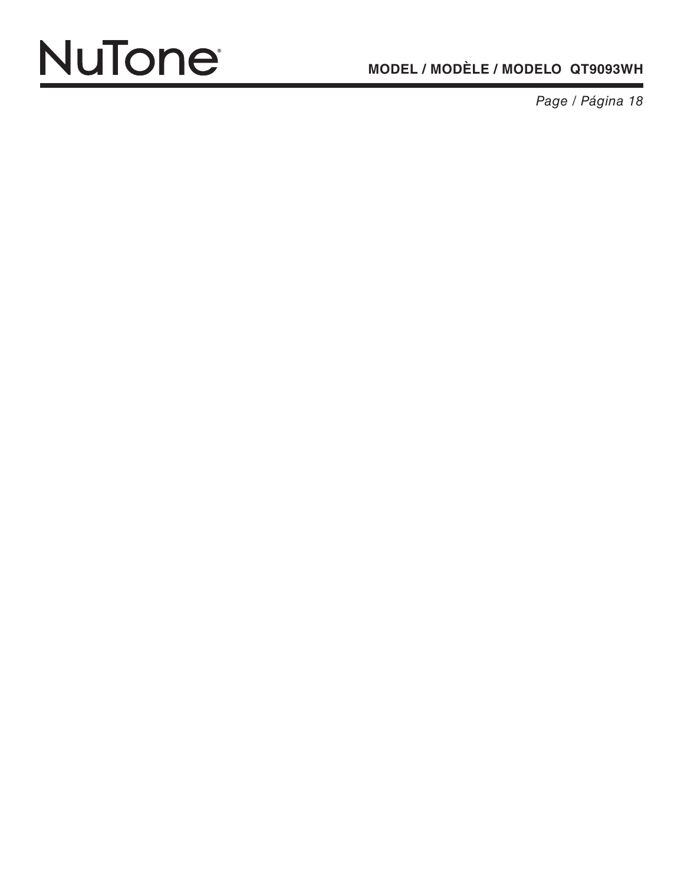### **MODEL / MODÈLE / MODELO QT9093WH**

*Page / Página 18*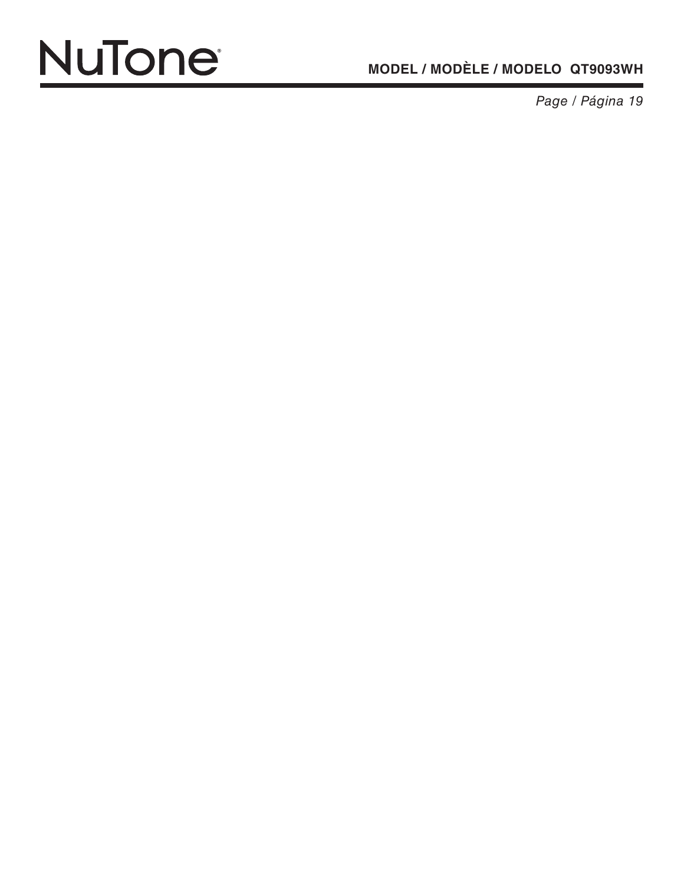*Page / Página 19*